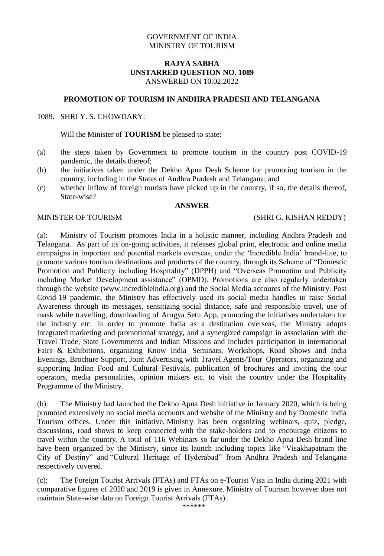## GOVERNMENT OF INDIA MINISTRY OF TOURISM

# **RAJYA SABHA UNSTARRED QUESTION NO. 1089** ANSWERED ON 10.02.2022

## **PROMOTION OF TOURISM IN ANDHRA PRADESH AND TELANGANA**

## 1089. SHRI Y. S. CHOWDARY:

Will the Minister of **TOURISM** be pleased to state:

- (a) the steps taken by Government to promote tourism in the country post COVID-19 pandemic, the details thereof;
- (b) the initiatives taken under the Dekho Apna Desh Scheme for promoting tourism in the country, including in the States of Andhra Pradesh and Telangana; and
- (c) whether inflow of foreign tourists have picked up in the country, if so, the details thereof, State-wise?

### **ANSWER**

#### MINISTER OF TOURISM (SHRI G. KISHAN REDDY)

(a): Ministry of Tourism promotes India in a holistic manner, including Andhra Pradesh and Telangana. As part of its on-going activities, it releases global print, electronic and online media campaigns in important and potential markets overseas, under the 'Incredible India' brand-line, to promote various tourism destinations and products of the country, through its Scheme of "Domestic Promotion and Publicity including Hospitality" (DPPH) and "Overseas Promotion and Publicity including Market Development assistance" (OPMD). Promotions are also regularly undertaken through the website (www.incredibleindia.org) and the Social Media accounts of the Ministry. Post Covid-19 pandemic, the Ministry has effectively used its social media handles to raise Social Awareness through its messages, sensitizing social distance, safe and responsible travel, use of mask while travelling, downloading of Arogya Setu App, promoting the initiatives undertaken for the industry etc. In order to promote India as a destination overseas, the Ministry adopts integrated marketing and promotional strategy, and a synergized campaign in association with the Travel Trade, State Governments and Indian Missions and includes participation in international Fairs & Exhibitions, organizing Know India Seminars, Workshops, Road Shows and India Evenings, Brochure Support, Joint Advertising with Travel Agents/Tour Operators, organizing and supporting Indian Food and Cultural Festivals, publication of brochures and inviting the tour operators, media personalities, opinion makers etc. to visit the country under the Hospitality Programme of the Ministry.

(b): The Ministry had launched the Dekho Apna Desh initiative in January 2020, which is being promoted extensively on social media accounts and website of the Ministry and by Domestic India Tourism offices. Under this initiative, Ministry has been organizing webinars, quiz, pledge, discussions, road shows to keep connected with the stake-holders and to encourage citizens to travel within the country. A total of 116 Webinars so far under the Dekho Apna Desh brand line have been organized by the Ministry, since its launch including topics like "Visakhapatnam the City of Destiny" and "Cultural Heritage of Hyderabad" from Andhra Pradesh and Telangana respectively covered.

(c): The Foreign Tourist Arrivals (FTAs) and FTAs on e-Tourist Visa in India during 2021 with comparative figures of 2020 and 2019 is given in Annexure. Ministry of Tourism however does not maintain State-wise data on Foreign Tourist Arrivals (FTAs).